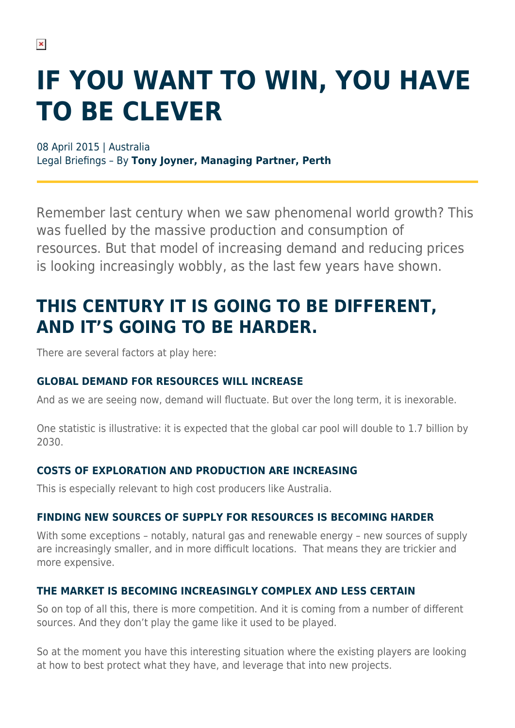# **IF YOU WANT TO WIN, YOU HAVE TO BE CLEVER**

08 April 2015 | Australia Legal Briefings – By **Tony Joyner, Managing Partner, Perth**

Remember last century when we saw phenomenal world growth? This was fuelled by the massive production and consumption of resources. But that model of increasing demand and reducing prices is looking increasingly wobbly, as the last few years have shown.

### **THIS CENTURY IT IS GOING TO BE DIFFERENT, AND IT'S GOING TO BE HARDER.**

There are several factors at play here:

#### **GLOBAL DEMAND FOR RESOURCES WILL INCREASE**

And as we are seeing now, demand will fluctuate. But over the long term, it is inexorable.

One statistic is illustrative: it is expected that the global car pool will double to 1.7 billion by 2030.

#### **COSTS OF EXPLORATION AND PRODUCTION ARE INCREASING**

This is especially relevant to high cost producers like Australia.

#### **FINDING NEW SOURCES OF SUPPLY FOR RESOURCES IS BECOMING HARDER**

With some exceptions – notably, natural gas and renewable energy – new sources of supply are increasingly smaller, and in more difficult locations. That means they are trickier and more expensive.

#### **THE MARKET IS BECOMING INCREASINGLY COMPLEX AND LESS CERTAIN**

So on top of all this, there is more competition. And it is coming from a number of different sources. And they don't play the game like it used to be played.

So at the moment you have this interesting situation where the existing players are looking at how to best protect what they have, and leverage that into new projects.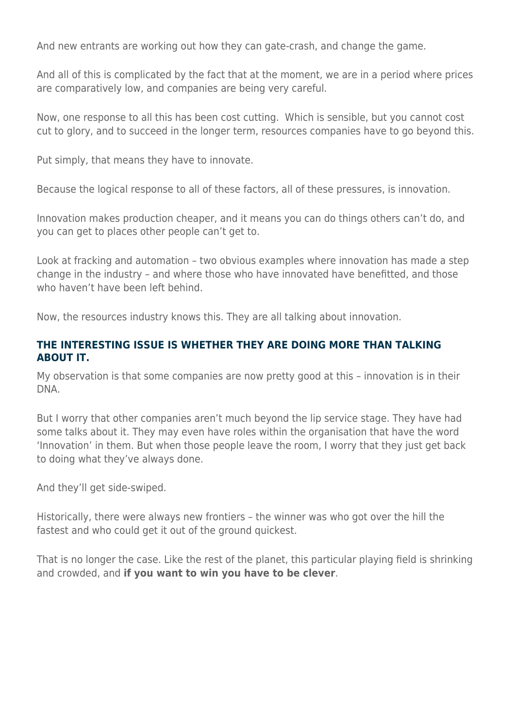And new entrants are working out how they can gate-crash, and change the game.

And all of this is complicated by the fact that at the moment, we are in a period where prices are comparatively low, and companies are being very careful.

Now, one response to all this has been cost cutting. Which is sensible, but you cannot cost cut to glory, and to succeed in the longer term, resources companies have to go beyond this.

Put simply, that means they have to innovate.

Because the logical response to all of these factors, all of these pressures, is innovation.

Innovation makes production cheaper, and it means you can do things others can't do, and you can get to places other people can't get to.

Look at fracking and automation – two obvious examples where innovation has made a step change in the industry – and where those who have innovated have benefitted, and those who haven't have been left hehind

Now, the resources industry knows this. They are all talking about innovation.

#### **THE INTERESTING ISSUE IS WHETHER THEY ARE DOING MORE THAN TALKING ABOUT IT.**

My observation is that some companies are now pretty good at this – innovation is in their DNA.

But I worry that other companies aren't much beyond the lip service stage. They have had some talks about it. They may even have roles within the organisation that have the word 'Innovation' in them. But when those people leave the room, I worry that they just get back to doing what they've always done.

And they'll get side-swiped.

Historically, there were always new frontiers – the winner was who got over the hill the fastest and who could get it out of the ground quickest.

That is no longer the case. Like the rest of the planet, this particular playing field is shrinking and crowded, and **if you want to win you have to be clever**.